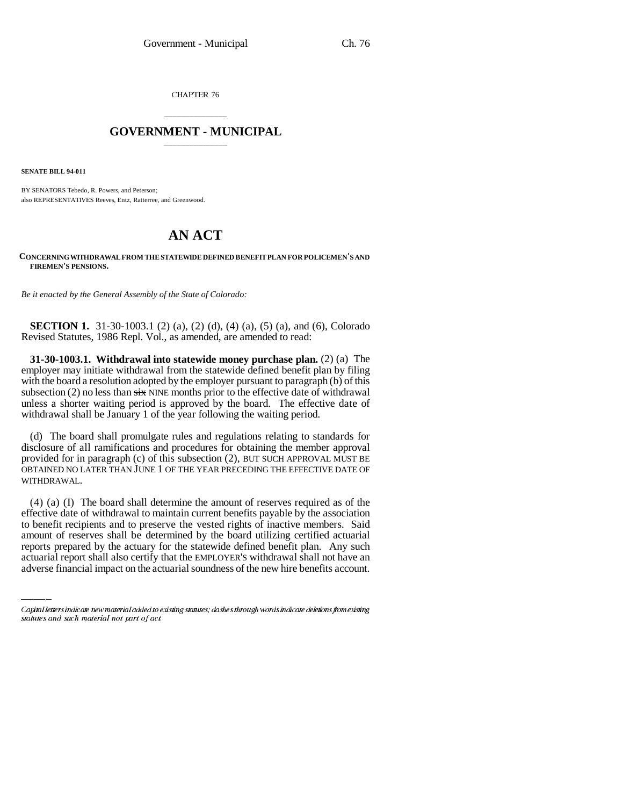CHAPTER 76

## \_\_\_\_\_\_\_\_\_\_\_\_\_\_\_ **GOVERNMENT - MUNICIPAL** \_\_\_\_\_\_\_\_\_\_\_\_\_\_\_

**SENATE BILL 94-011**

BY SENATORS Tebedo, R. Powers, and Peterson; also REPRESENTATIVES Reeves, Entz, Ratterree, and Greenwood.

# **AN ACT**

### **CONCERNING WITHDRAWAL FROM THE STATEWIDE DEFINED BENEFIT PLAN FOR POLICEMEN'S AND FIREMEN'S PENSIONS.**

*Be it enacted by the General Assembly of the State of Colorado:*

**SECTION 1.** 31-30-1003.1 (2) (a), (2) (d), (4) (a), (5) (a), and (6), Colorado Revised Statutes, 1986 Repl. Vol., as amended, are amended to read:

**31-30-1003.1. Withdrawal into statewide money purchase plan.** (2) (a) The employer may initiate withdrawal from the statewide defined benefit plan by filing with the board a resolution adopted by the employer pursuant to paragraph (b) of this subsection  $(2)$  no less than  $\frac{1}{2}$  NINE months prior to the effective date of withdrawal unless a shorter waiting period is approved by the board. The effective date of withdrawal shall be January 1 of the year following the waiting period.

(d) The board shall promulgate rules and regulations relating to standards for disclosure of all ramifications and procedures for obtaining the member approval provided for in paragraph (c) of this subsection (2), BUT SUCH APPROVAL MUST BE OBTAINED NO LATER THAN JUNE 1 OF THE YEAR PRECEDING THE EFFECTIVE DATE OF WITHDRAWAL.

to benefit recipients and to preserve the vested rights of inactive members. Said (4) (a) (I) The board shall determine the amount of reserves required as of the effective date of withdrawal to maintain current benefits payable by the association amount of reserves shall be determined by the board utilizing certified actuarial reports prepared by the actuary for the statewide defined benefit plan. Any such actuarial report shall also certify that the EMPLOYER'S withdrawal shall not have an adverse financial impact on the actuarial soundness of the new hire benefits account.

Capital letters indicate new material added to existing statutes; dashes through words indicate deletions from existing statutes and such material not part of act.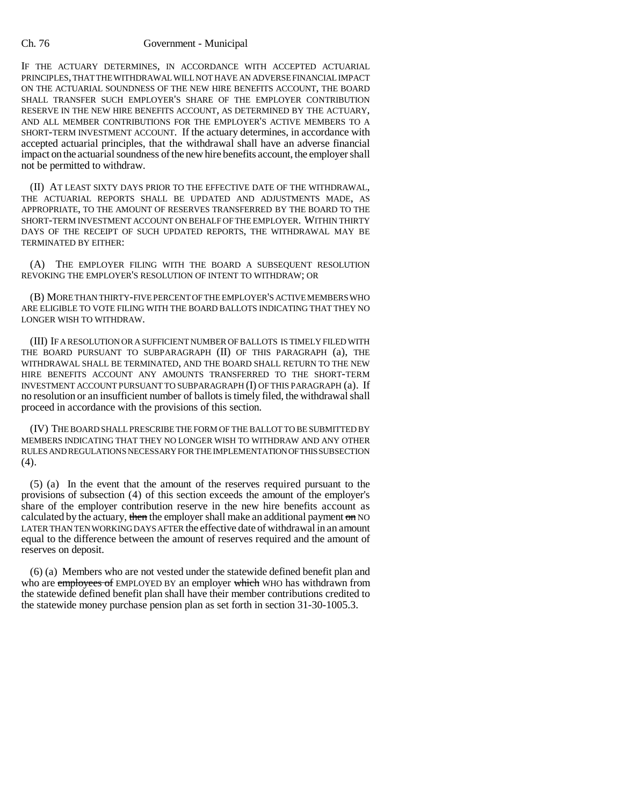#### Ch. 76 Government - Municipal

IF THE ACTUARY DETERMINES, IN ACCORDANCE WITH ACCEPTED ACTUARIAL PRINCIPLES, THAT THE WITHDRAWAL WILL NOT HAVE AN ADVERSE FINANCIAL IMPACT ON THE ACTUARIAL SOUNDNESS OF THE NEW HIRE BENEFITS ACCOUNT, THE BOARD SHALL TRANSFER SUCH EMPLOYER'S SHARE OF THE EMPLOYER CONTRIBUTION RESERVE IN THE NEW HIRE BENEFITS ACCOUNT, AS DETERMINED BY THE ACTUARY, AND ALL MEMBER CONTRIBUTIONS FOR THE EMPLOYER'S ACTIVE MEMBERS TO A SHORT-TERM INVESTMENT ACCOUNT. If the actuary determines, in accordance with accepted actuarial principles, that the withdrawal shall have an adverse financial impact on the actuarial soundness of the new hire benefits account, the employer shall not be permitted to withdraw.

(II) AT LEAST SIXTY DAYS PRIOR TO THE EFFECTIVE DATE OF THE WITHDRAWAL, THE ACTUARIAL REPORTS SHALL BE UPDATED AND ADJUSTMENTS MADE, AS APPROPRIATE, TO THE AMOUNT OF RESERVES TRANSFERRED BY THE BOARD TO THE SHORT-TERM INVESTMENT ACCOUNT ON BEHALF OF THE EMPLOYER. WITHIN THIRTY DAYS OF THE RECEIPT OF SUCH UPDATED REPORTS, THE WITHDRAWAL MAY BE TERMINATED BY EITHER:

(A) THE EMPLOYER FILING WITH THE BOARD A SUBSEQUENT RESOLUTION REVOKING THE EMPLOYER'S RESOLUTION OF INTENT TO WITHDRAW; OR

(B) MORE THAN THIRTY-FIVE PERCENT OF THE EMPLOYER'S ACTIVE MEMBERS WHO ARE ELIGIBLE TO VOTE FILING WITH THE BOARD BALLOTS INDICATING THAT THEY NO LONGER WISH TO WITHDRAW.

(III) IF A RESOLUTION OR A SUFFICIENT NUMBER OF BALLOTS IS TIMELY FILED WITH THE BOARD PURSUANT TO SUBPARAGRAPH (II) OF THIS PARAGRAPH (a), THE WITHDRAWAL SHALL BE TERMINATED, AND THE BOARD SHALL RETURN TO THE NEW HIRE BENEFITS ACCOUNT ANY AMOUNTS TRANSFERRED TO THE SHORT-TERM INVESTMENT ACCOUNT PURSUANT TO SUBPARAGRAPH (I) OF THIS PARAGRAPH (a). If no resolution or an insufficient number of ballots is timely filed, the withdrawal shall proceed in accordance with the provisions of this section.

(IV) THE BOARD SHALL PRESCRIBE THE FORM OF THE BALLOT TO BE SUBMITTED BY MEMBERS INDICATING THAT THEY NO LONGER WISH TO WITHDRAW AND ANY OTHER RULES AND REGULATIONS NECESSARY FOR THE IMPLEMENTATION OF THIS SUBSECTION  $(4).$ 

(5) (a) In the event that the amount of the reserves required pursuant to the provisions of subsection (4) of this section exceeds the amount of the employer's share of the employer contribution reserve in the new hire benefits account as calculated by the actuary, then the employer shall make an additional payment on NO LATER THAN TEN WORKING DAYS AFTER the effective date of withdrawal in an amount equal to the difference between the amount of reserves required and the amount of reserves on deposit.

(6) (a) Members who are not vested under the statewide defined benefit plan and who are employees of EMPLOYED BY an employer which WHO has withdrawn from the statewide defined benefit plan shall have their member contributions credited to the statewide money purchase pension plan as set forth in section 31-30-1005.3.